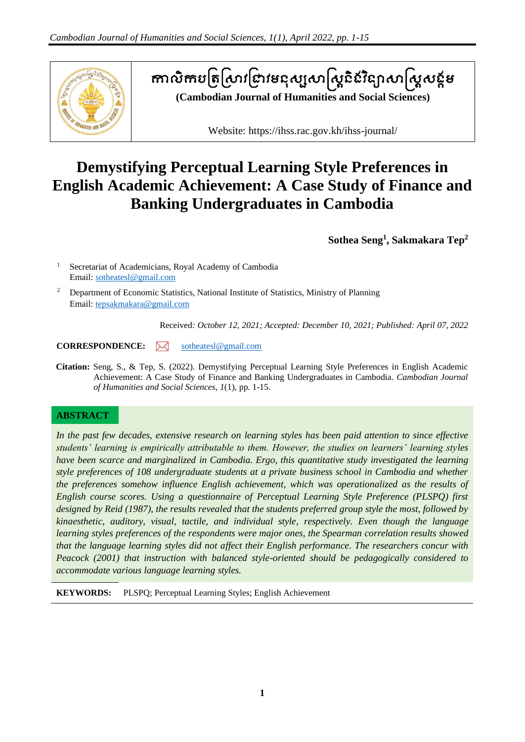

# តាលិកបត្រស្រាវជ្រាវមនុស្សសាស្ត្រីនេះន្យាសាស្ត្រសន្តម

**(Cambodian Journal of Humanities and Social Sciences)**

Website: https://ihss.rac.gov.kh/ihss-journal/

## **Demystifying Perceptual Learning Style Preferences in English Academic Achievement: A Case Study of Finance and Banking Undergraduates in Cambodia**

**Sothea Seng<sup>1</sup> , Sakmakara Tep<sup>2</sup>**

<sup>1</sup> Secretariat of Academicians, Royal Academy of Cambodia Email: [sotheatesl@gmail.com](mailto:sotheatesl@gmail.com)

<sup>2</sup> Department of Economic Statistics, National Institute of Statistics, Ministry of Planning Email: [tepsakmakara@gmail.com](mailto:tepsakmakara@gmail.com)

Received*: October 12, 2021; Accepted: December 10, 2021; Published: April 07, 2022*

**CORRESPONDENCE:**  $\mathbb{W}$  [sotheatesl@gmail.com](mailto:sotheatesl@gmail.com)

**Citation:** Seng, S., & Tep, S. (2022). Demystifying Perceptual Learning Style Preferences in English Academic Achievement: A Case Study of Finance and Banking Undergraduates in Cambodia. *Cambodian Journal of Humanities and Social Sciences*, *1*(1), pp. 1-15.

## **ABSTRACT**

*In the past few decades, extensive research on learning styles has been paid attention to since effective students' learning is empirically attributable to them. However, the studies on learners' learning styles have been scarce and marginalized in Cambodia. Ergo, this quantitative study investigated the learning style preferences of 108 undergraduate students at a private business school in Cambodia and whether the preferences somehow influence English achievement, which was operationalized as the results of English course scores. Using a questionnaire of Perceptual Learning Style Preference (PLSPQ) first designed by Reid (1987), the results revealed that the students preferred group style the most, followed by kinaesthetic, auditory, visual, tactile, and individual style, respectively. Even though the language learning styles preferences of the respondents were major ones, the Spearman correlation results showed that the language learning styles did not affect their English performance. The researchers concur with Peacock (2001) that instruction with balanced style-oriented should be pedagogically considered to accommodate various language learning styles.*

**KEYWORDS:** PLSPQ; Perceptual Learning Styles; English Achievement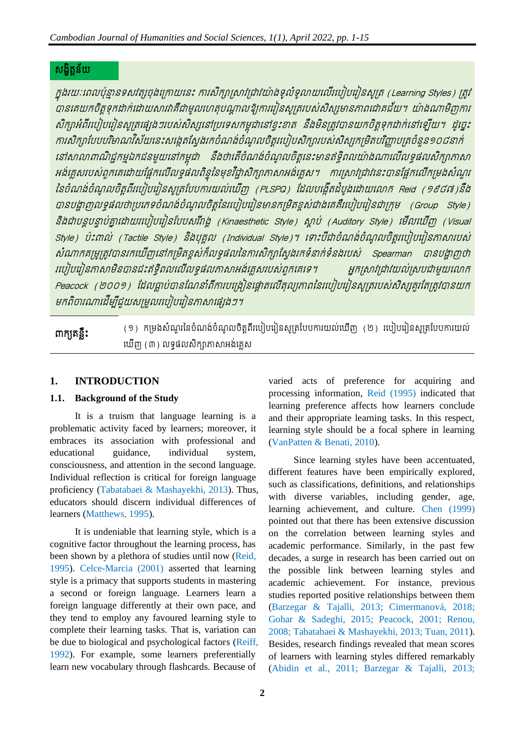## សង្ខិត្ន័យត

ក្នុងរយៈពេលប៉ុន្មានទសវត្សចុងក្រោយនេះ ការសិក្សាសាររាវរាវយ៉ាងទូលំទូលាយលើរបៀបរៀនសូត្រ (Learning Styles) ត្រូវ .<br>បានគេយកចិត្តទុកដាក់ដោយសារវាគឺជាមូលហេតុបណ្តាលឱ្យការរៀនសូត្ររបស់សិស្សមានភាពជោគជ័យ។ យ៉ាងណាមិញការ សិក្សាអំពីរបៀបរៀនសូត្រផ្សេងៗរបស់សិស្សនៅប្រទេសកម្ពុជានៅខ្វះខាត នឹងមិនត្រូវបានយកចិត្តទុកដាក់នៅឡើយ។ ដូច្នេះ ការសិក្សាបែបបរិមាណវិស័យនេះសង្កេតស្វែងរកចំណង់ចំណូលចិត្តរបៀបសិក្សារបស់សិស្សកម្រិតបរិញ្ញាបត្រចំនួន១០៨នាក់ នៅសាលាពាណិជ្ជកម្មឯកជនមួយនៅកម្ពុជា នឹងថាតើចំណង់ចំណូលចិត្តនេះមានឥទ្ធិពលយ៉ាងណាលើលទ្ធផលសិក្សាកាសា អង់គ្លេសរបស់ពួកគេដោយផ្អែកលើលទ្ធផលពិន្ទុនៃមុខវិជ្ជាសិក្សាកាសាអង់គ្លេស។ ការស្រាវជ្រាវនេះបានផ្អែកលើកម្រងសំណួរ នៃចំណង់ចំណូលចិត្តពីរបៀបរៀនសូត្របែបការយល់ឃើញ (PLSPQ) ដែលបង្កើតដំបូងដោយលោក Reid (១៩៨៧)នឹង បានបង្ហាញលទ្ធផលថាប្រភេទចំណង់ចំណូលចិត្តនៃរបៀបរៀនមានកម្រិតខ្ពស់ជាងគេគឺរបៀបរៀនជាក្រុម (Group Style) និងជាបន្តបន្ទាប់គ្នាដោយរបៀបរៀនបែបសរីវាង្គ (Kinaesthetic Style) ស្ថាប់ (Auditory Style) មើលឃើញ (Visual Style) ប៉ះពាល់ (Tactile Style) និងបុគុល (Individual Style)។ ពោះបីជាចំណង់ចំណុលចិត្តរបៀបរៀនភាសារបស់ សំណាកគម្រូត្រូវបានរកឃើញនៅកម្រិតខ្ពស់ក៏លទ្ធផលនៃការសិក្សាស្វែងរកទំនាក់ទំនងរបស់ Spearman បានបង្ហាញថា របៀបរៀនភាសាមិនបានជះឥទ្ធិពលលើលទ្ធផលកាសាអង់គ្លេសបេស់ពួកគេទេ។ អ្នកស្រាវជ្រាវយល់ស្របជាមួយលោក Peacock (២០០១) ដែលធ្លាប់បានណែនាំពីការបង្រៀនផ្តោតលើតុល្យភាពនៃរបៀបរៀនសូត្ររបស់សិស្សគួរតែត្រូវបានយក មកពិចារណាដើម្បីជួយសម្រួលរបៀបរៀនភាសាផ្សេងៗ។

៣ក្យួតន្លឹះ (១) កម្រងសំណួរនៃចំណង់ចំណូលចិត្តពីរបៀបរៀនសូត្របែបការយល់ឃើញ (២) របៀបរៀនសូត្របែបការយល់ យើញ (៣) លទ្ធផលសិក្សាភាសាអង់គ្លេស

## **1. INTRODUCTION**

## **1.1. Background of the Study**

It is a truism that language learning is a problematic activity faced by learners; moreover, it embraces its association with professional and educational guidance, individual system, consciousness, and attention in the second language. Individual reflection is critical for foreign language proficiency (Tabatabaei & Mashayekhi, 2013). Thus, educators should discern individual differences of learners (Matthews, 1995).

It is undeniable that learning style, which is a cognitive factor throughout the learning process, has been shown by a plethora of studies until now (Reid, 1995). Celce-Marcia (2001) asserted that learning style is a primacy that supports students in mastering a second or foreign language. Learners learn a foreign language differently at their own pace, and they tend to employ any favoured learning style to complete their learning tasks. That is, variation can be due to biological and psychological factors (Reiff, 1992). For example, some learners preferentially learn new vocabulary through flashcards. Because of

varied acts of preference for acquiring and processing information, Reid (1995) indicated that learning preference affects how learners conclude and their appropriate learning tasks. In this respect, learning style should be a focal sphere in learning (VanPatten & Benati, 2010).

Since learning styles have been accentuated, different features have been empirically explored, such as classifications, definitions, and relationships with diverse variables, including gender, age, learning achievement, and culture. Chen (1999) pointed out that there has been extensive discussion on the correlation between learning styles and academic performance. Similarly, in the past few decades, a surge in research has been carried out on the possible link between learning styles and academic achievement. For instance, previous studies reported positive relationships between them (Barzegar & Tajalli, 2013; Cimermanová, 2018; Gohar & Sadeghi, 2015; Peacock, 2001; Renou, 2008; Tabatabaei & Mashayekhi, 2013; Tuan, 2011). Besides, research findings revealed that mean scores of learners with learning styles differed remarkably (Abidin et al., 2011; Barzegar & Tajalli, 2013;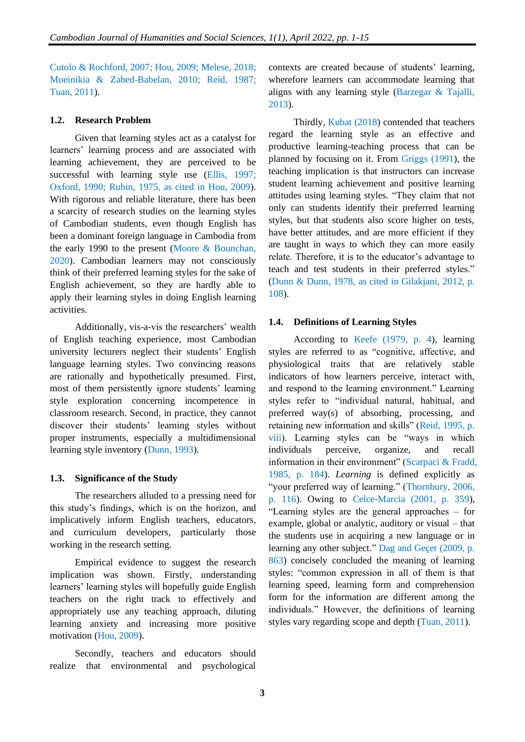Cutolo & Rochford, 2007; Hou, 2009; Melese, 2018; Moeinikia & Zahed-Babelan, 2010; Reid, 1987; Tuan, 2011).

#### **1.2. Research Problem**

Given that learning styles act as a catalyst for learners' learning process and are associated with learning achievement, they are perceived to be successful with learning style use (Ellis, 1997; Oxford, 1990; Rubin, 1975, as cited in Hou, 2009). With rigorous and reliable literature, there has been a scarcity of research studies on the learning styles of Cambodian students, even though English has been a dominant foreign language in Cambodia from the early 1990 to the present (Moore & Bounchan, 2020). Cambodian learners may not consciously think of their preferred learning styles for the sake of English achievement, so they are hardly able to apply their learning styles in doing English learning activities.

Additionally, vis-a-vis the researchers' wealth of English teaching experience, most Cambodian university lecturers neglect their students' English language learning styles. Two convincing reasons are rationally and hypothetically presumed. First, most of them persistently ignore students' learning style exploration concerning incompetence in classroom research. Second, in practice, they cannot discover their students' learning styles without proper instruments, especially a multidimensional learning style inventory (Dunn, 1993).

#### **1.3. Significance of the Study**

The researchers alluded to a pressing need for this study's findings, which is on the horizon, and implicatively inform English teachers, educators, and curriculum developers, particularly those working in the research setting.

Empirical evidence to suggest the research implication was shown. Firstly, understanding learners' learning styles will hopefully guide English teachers on the right track to effectively and appropriately use any teaching approach, diluting learning anxiety and increasing more positive motivation (Hou, 2009).

Secondly, teachers and educators should realize that environmental and psychological

contexts are created because of students' learning, wherefore learners can accommodate learning that aligns with any learning style (Barzegar & Tajalli, 2013).

Thirdly, Kubat (2018) contended that teachers regard the learning style as an effective and productive learning-teaching process that can be planned by focusing on it. From Griggs (1991), the teaching implication is that instructors can increase student learning achievement and positive learning attitudes using learning styles. "They claim that not only can students identify their preferred learning styles, but that students also score higher on tests, have better attitudes, and are more efficient if they are taught in ways to which they can more easily relate. Therefore, it is to the educator's advantage to teach and test students in their preferred styles." (Dunn & Dunn, 1978, as cited in Gilakjani, 2012, p. 108).

#### **1.4. Definitions of Learning Styles**

According to Keefe (1979, p. 4), learning styles are referred to as "cognitive, affective, and physiological traits that are relatively stable indicators of how learners perceive, interact with, and respond to the learning environment." Learning styles refer to "individual natural, habitual, and preferred way(s) of absorbing, processing, and retaining new information and skills" (Reid, 1995, p. viii). Learning styles can be "ways in which individuals perceive, organize, and recall information in their environment" (Scarpaci & Fradd, 1985, p. 184). *Learning* is defined explicitly as "your preferred way of learning." (Thornbury, 2006, p. 116). Owing to Celce-Marcia (2001, p. 359), "Learning styles are the general approaches – for example, global or analytic, auditory or visual – that the students use in acquiring a new language or in learning any other subject." Dag and Geçer (2009, p. 863) concisely concluded the meaning of learning styles: "common expression in all of them is that learning speed, learning form and comprehension form for the information are different among the individuals." However, the definitions of learning styles vary regarding scope and depth (Tuan, 2011).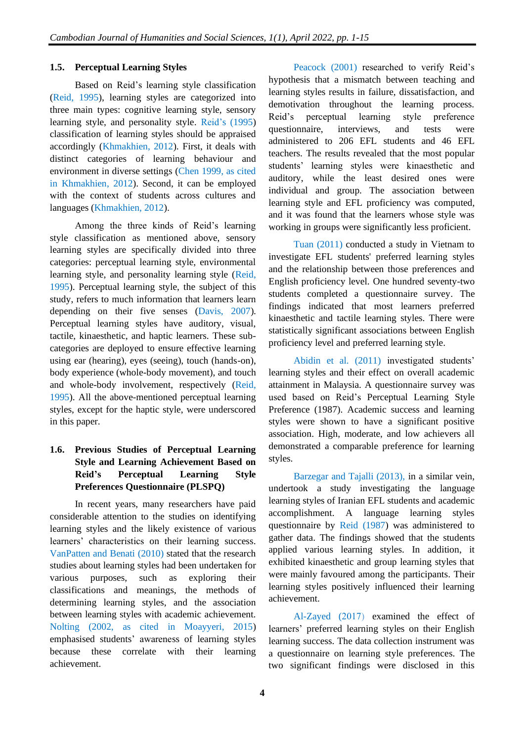#### **1.5. Perceptual Learning Styles**

Based on Reid's learning style classification (Reid, 1995), learning styles are categorized into three main types: cognitive learning style, sensory learning style, and personality style. Reid's (1995) classification of learning styles should be appraised accordingly (Khmakhien, 2012). First, it deals with distinct categories of learning behaviour and environment in diverse settings (Chen 1999, as cited in Khmakhien, 2012). Second, it can be employed with the context of students across cultures and languages (Khmakhien, 2012).

Among the three kinds of Reid's learning style classification as mentioned above, sensory learning styles are specifically divided into three categories: perceptual learning style, environmental learning style, and personality learning style (Reid, 1995). Perceptual learning style, the subject of this study, refers to much information that learners learn depending on their five senses (Davis, 2007). Perceptual learning styles have auditory, visual, tactile, kinaesthetic, and haptic learners. These subcategories are deployed to ensure effective learning using ear (hearing), eyes (seeing), touch (hands-on), body experience (whole-body movement), and touch and whole-body involvement, respectively (Reid, 1995). All the above-mentioned perceptual learning styles, except for the haptic style, were underscored in this paper.

## **1.6. Previous Studies of Perceptual Learning Style and Learning Achievement Based on Reid's Perceptual Learning Style Preferences Questionnaire (PLSPQ)**

In recent years, many researchers have paid considerable attention to the studies on identifying learning styles and the likely existence of various learners' characteristics on their learning success. VanPatten and Benati (2010) stated that the research studies about learning styles had been undertaken for various purposes, such as exploring their classifications and meanings, the methods of determining learning styles, and the association between learning styles with academic achievement. Nolting (2002, as cited in Moayyeri, 2015) emphasised students' awareness of learning styles because these correlate with their learning achievement.

Peacock (2001) researched to verify Reid's hypothesis that a mismatch between teaching and learning styles results in failure, dissatisfaction, and demotivation throughout the learning process. Reid's perceptual learning style preference questionnaire, interviews, and tests were administered to 206 EFL students and 46 EFL teachers. The results revealed that the most popular students' learning styles were kinaesthetic and auditory, while the least desired ones were individual and group. The association between learning style and EFL proficiency was computed, and it was found that the learners whose style was working in groups were significantly less proficient.

Tuan (2011) conducted a study in Vietnam to investigate EFL students' preferred learning styles and the relationship between those preferences and English proficiency level. One hundred seventy-two students completed a questionnaire survey. The findings indicated that most learners preferred kinaesthetic and tactile learning styles. There were statistically significant associations between English proficiency level and preferred learning style.

Abidin et al. (2011) investigated students' learning styles and their effect on overall academic attainment in Malaysia. A questionnaire survey was used based on Reid's Perceptual Learning Style Preference (1987). Academic success and learning styles were shown to have a significant positive association. High, moderate, and low achievers all demonstrated a comparable preference for learning styles.

Barzegar and Tajalli (2013), in a similar vein, undertook a study investigating the language learning styles of Iranian EFL students and academic accomplishment. A language learning styles questionnaire by Reid (1987) was administered to gather data. The findings showed that the students applied various learning styles. In addition, it exhibited kinaesthetic and group learning styles that were mainly favoured among the participants. Their learning styles positively influenced their learning achievement.

Al-Zayed (2017) examined the effect of learners' preferred learning styles on their English learning success. The data collection instrument was a questionnaire on learning style preferences. The two significant findings were disclosed in this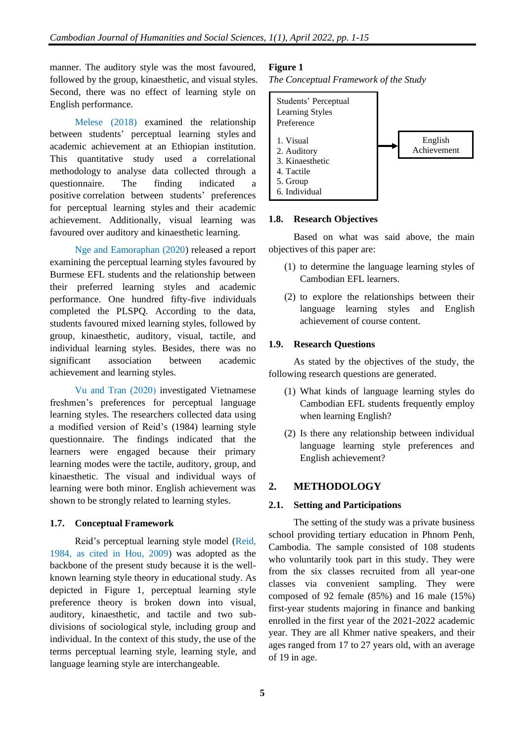manner. The auditory style was the most favoured, followed by the group, kinaesthetic, and visual styles. Second, there was no effect of learning style on English performance.

Melese (2018) examined the relationship between students' perceptual learning styles and academic achievement at an Ethiopian institution. This quantitative study used a correlational methodology to analyse data collected through a questionnaire. The finding indicated a positive correlation between students' preferences for perceptual learning styles and their academic achievement. Additionally, visual learning was favoured over auditory and kinaesthetic learning.

Nge and Eamoraphan (2020) released a report examining the perceptual learning styles favoured by Burmese EFL students and the relationship between their preferred learning styles and academic performance. One hundred fifty-five individuals completed the PLSPQ. According to the data, students favoured mixed learning styles, followed by group, kinaesthetic, auditory, visual, tactile, and individual learning styles. Besides, there was no significant association between academic achievement and learning styles.

Vu and Tran (2020) investigated Vietnamese freshmen's preferences for perceptual language learning styles. The researchers collected data using a modified version of Reid's (1984) learning style questionnaire. The findings indicated that the learners were engaged because their primary learning modes were the tactile, auditory, group, and kinaesthetic. The visual and individual ways of learning were both minor. English achievement was shown to be strongly related to learning styles.

#### **1.7. Conceptual Framework**

Reid's perceptual learning style model (Reid, 1984, as cited in Hou, 2009) was adopted as the backbone of the present study because it is the wellknown learning style theory in educational study. As depicted in Figure 1, perceptual learning style preference theory is broken down into visual, auditory, kinaesthetic, and tactile and two subdivisions of sociological style, including group and individual. In the context of this study, the use of the terms perceptual learning style, learning style, and language learning style are interchangeable.

## **Figure 1**

*The Conceptual Framework of the Study*



#### **1.8. Research Objectives**

Based on what was said above, the main objectives of this paper are:

- (1) to determine the language learning styles of Cambodian EFL learners.
- (2) to explore the relationships between their language learning styles and English achievement of course content.

## **1.9. Research Questions**

As stated by the objectives of the study, the following research questions are generated.

- (1) What kinds of language learning styles do Cambodian EFL students frequently employ when learning English?
- (2) Is there any relationship between individual language learning style preferences and English achievement?

## **2. METHODOLOGY**

#### **2.1. Setting and Participations**

The setting of the study was a private business school providing tertiary education in Phnom Penh, Cambodia. The sample consisted of 108 students who voluntarily took part in this study. They were from the six classes recruited from all year-one classes via convenient sampling. They were composed of 92 female (85%) and 16 male (15%) first-year students majoring in finance and banking enrolled in the first year of the 2021-2022 academic year. They are all Khmer native speakers, and their ages ranged from 17 to 27 years old, with an average of 19 in age.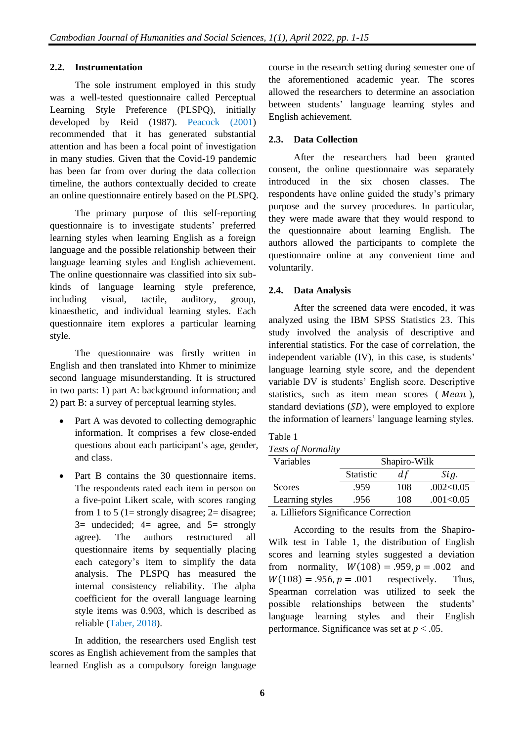#### **2.2. Instrumentation**

The sole instrument employed in this study was a well-tested questionnaire called Perceptual Learning Style Preference (PLSPQ), initially developed by Reid (1987). Peacock (2001) recommended that it has generated substantial attention and has been a focal point of investigation in many studies. Given that the Covid-19 pandemic has been far from over during the data collection timeline, the authors contextually decided to create an online questionnaire entirely based on the PLSPQ.

The primary purpose of this self-reporting questionnaire is to investigate students' preferred learning styles when learning English as a foreign language and the possible relationship between their language learning styles and English achievement. The online questionnaire was classified into six subkinds of language learning style preference, including visual, tactile, auditory, group, kinaesthetic, and individual learning styles. Each questionnaire item explores a particular learning style.

The questionnaire was firstly written in English and then translated into Khmer to minimize second language misunderstanding. It is structured in two parts: 1) part A: background information; and 2) part B: a survey of perceptual learning styles.

- Part A was devoted to collecting demographic information. It comprises a few close-ended questions about each participant's age, gender, and class.
- Part B contains the 30 questionnaire items. The respondents rated each item in person on a five-point Likert scale, with scores ranging from 1 to 5 (1= strongly disagree;  $2=$  disagree;  $3=$  undecided;  $4=$  agree, and  $5=$  strongly agree). The authors restructured all questionnaire items by sequentially placing each category's item to simplify the data analysis. The PLSPQ has measured the internal consistency reliability. The alpha coefficient for the overall language learning style items was 0.903, which is described as reliable (Taber, 2018).

In addition, the researchers used English test scores as English achievement from the samples that learned English as a compulsory foreign language

course in the research setting during semester one of the aforementioned academic year. The scores allowed the researchers to determine an association between students' language learning styles and English achievement.

## **2.3. Data Collection**

After the researchers had been granted consent, the online questionnaire was separately introduced in the six chosen classes. The respondents have online guided the study's primary purpose and the survey procedures. In particular, they were made aware that they would respond to the questionnaire about learning English. The authors allowed the participants to complete the questionnaire online at any convenient time and voluntarily.

## **2.4. Data Analysis**

After the screened data were encoded, it was analyzed using the IBM SPSS Statistics 23. This study involved the analysis of descriptive and inferential statistics. For the case of correlation, the independent variable (IV), in this case, is students' language learning style score, and the dependent variable DV is students' English score. Descriptive statistics, such as item mean scores  $(Mean)$ , standard deviations  $(SD)$ , were employed to explore the information of learners' language learning styles.

#### Table 1

#### *Tests of Normality*

| Variables                             |                  | Shapiro-Wilk |           |  |  |  |  |  |
|---------------------------------------|------------------|--------------|-----------|--|--|--|--|--|
|                                       | <b>Statistic</b> | d f          | Sig.      |  |  |  |  |  |
| Scores                                | .959             | 108          | .002<0.05 |  |  |  |  |  |
| Learning styles                       | .956             | 108          | .001<0.05 |  |  |  |  |  |
| a. Lilliefors Significance Correction |                  |              |           |  |  |  |  |  |

According to the results from the Shapiro-Wilk test in Table 1, the distribution of English scores and learning styles suggested a deviation from normality,  $W(108) = .959, p = .002$  and  $W(108) = .956, p = .001$  respectively. Thus, Spearman correlation was utilized to seek the possible relationships between the students' language learning styles and their English performance. Significance was set at *p* < .05.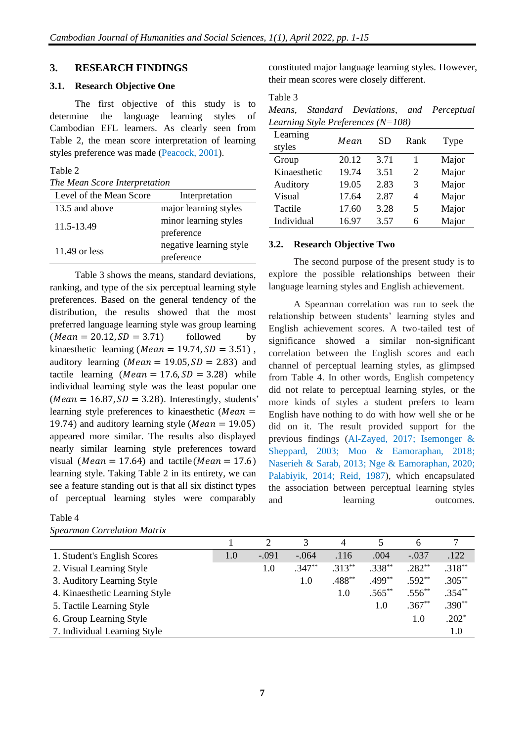#### **3. RESEARCH FINDINGS**

#### **3.1. Research Objective One**

The first objective of this study is to determine the language learning styles of Cambodian EFL learners. As clearly seen from Table 2, the mean score interpretation of learning styles preference was made (Peacock, 2001).

#### Table 2

*The Mean Score Interpretation* 

| Level of the Mean Score | Interpretation          |
|-------------------------|-------------------------|
| 13.5 and above          | major learning styles   |
| 11.5-13.49              | minor learning styles   |
|                         | preference              |
| 11.49 or less           | negative learning style |
|                         | preference              |

Table 3 shows the means, standard deviations, ranking, and type of the six perceptual learning style preferences. Based on the general tendency of the distribution, the results showed that the most preferred language learning style was group learning  $(Mean = 20.12, SD = 3.71)$  followed by kinaesthetic learning ( $Mean = 19.74$ ,  $SD = 3.51$ ), auditory learning ( $Mean = 19.05, SD = 2.83$ ) and tactile learning  $(Mean = 17.6, SD = 3.28)$  while individual learning style was the least popular one ( $Mean = 16.87, SD = 3.28$ ). Interestingly, students' learning style preferences to kinaesthetic ( $Mean =$ 19.74) and auditory learning style ( $Mean = 19.05$ ) appeared more similar. The results also displayed nearly similar learning style preferences toward visual ( $Mean = 17.64$ ) and tactile( $Mean = 17.6$ ) learning style. Taking Table 2 in its entirety, we can see a feature standing out is that all six distinct types of perceptual learning styles were comparably

#### Table 4 *Spearman Correlation Matrix*

constituted major language learning styles. However, their mean scores were closely different.

#### Table 3

|  | Means, Standard Deviations, and Perceptual |  |
|--|--------------------------------------------|--|
|  | Learning Style Preferences ( $N=108$ )     |  |

| Learning     | Mean  | <b>SD</b> | Rank | Type  |
|--------------|-------|-----------|------|-------|
| styles       |       |           |      |       |
| Group        | 20.12 | 3.71      |      | Major |
| Kinaesthetic | 19.74 | 3.51      | 2    | Major |
| Auditory     | 19.05 | 2.83      | 3    | Major |
| Visual       | 17.64 | 2.87      | 4    | Major |
| Tactile      | 17.60 | 3.28      | 5    | Major |
| Individual   | 16.97 | 3.57      | 6    | Major |

#### **3.2. Research Objective Two**

The second purpose of the present study is to explore the possible relationships between their language learning styles and English achievement.

A Spearman correlation was run to seek the relationship between students' learning styles and English achievement scores. A two-tailed test of significance showed a similar non-significant correlation between the English scores and each channel of perceptual learning styles, as glimpsed from Table 4. In other words, English competency did not relate to perceptual learning styles, or the more kinds of styles a student prefers to learn English have nothing to do with how well she or he did on it. The result provided support for the previous findings (Al-Zayed, 2017; Isemonger & Sheppard, 2003; Moo & Eamoraphan, 2018; Naserieh & Sarab, 2013; Nge & Eamoraphan, 2020; Palabiyik, 2014; Reid, 1987), which encapsulated the association between perceptual learning styles and learning outcomes.

|                                |         | 2       | 3        | 4        |           | 6           | 7         |
|--------------------------------|---------|---------|----------|----------|-----------|-------------|-----------|
| 1. Student's English Scores    | $1.0\,$ | $-.091$ | $-.064$  | .116     | .004      | $-.037$     | .122      |
| 2. Visual Learning Style       |         | 1.0     | $.347**$ | $.313**$ | $.338**$  | $.282**$    | $.318**$  |
| 3. Auditory Learning Style     |         |         | 1.0      | $.488**$ | $.499***$ | $.592**$    | $.305***$ |
| 4. Kinaesthetic Learning Style |         |         |          | 1.0      | $.565***$ | $.556^{**}$ | $.354**$  |
| 5. Tactile Learning Style      |         |         |          |          | 1.0       | $.367**$    | $.390**$  |
| 6. Group Learning Style        |         |         |          |          |           | 1.0         | $.202*$   |
| 7. Individual Learning Style   |         |         |          |          |           |             | 1.0       |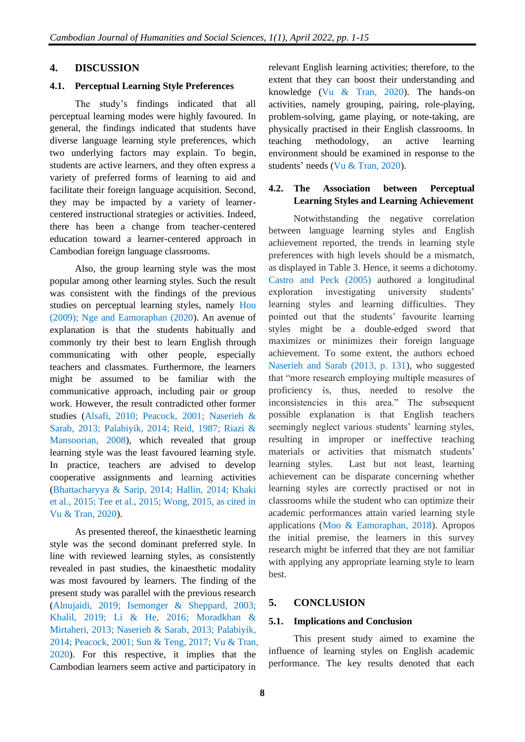#### **4. DISCUSSION**

#### **4.1. Perceptual Learning Style Preferences**

The study's findings indicated that all perceptual learning modes were highly favoured. In general, the findings indicated that students have diverse language learning style preferences, which two underlying factors may explain. To begin, students are active learners, and they often express a variety of preferred forms of learning to aid and facilitate their foreign language acquisition. Second, they may be impacted by a variety of learnercentered instructional strategies or activities. Indeed, there has been a change from teacher-centered education toward a learner-centered approach in Cambodian foreign language classrooms.

Also, the group learning style was the most popular among other learning styles. Such the result was consistent with the findings of the previous studies on perceptual learning styles, namely Hou (2009); Nge and Eamoraphan (2020). An avenue of explanation is that the students habitually and commonly try their best to learn English through communicating with other people, especially teachers and classmates. Furthermore, the learners might be assumed to be familiar with the communicative approach, including pair or group work. However, the result contradicted other former studies (Alsafi, 2010; Peacock, 2001; Naserieh & Sarab, 2013; Palabiyik, 2014; Reid, 1987; Riazi & Mansoorian, 2008), which revealed that group learning style was the least favoured learning style. In practice, teachers are advised to develop cooperative assignments and learning activities (Bhattacharyya & Sarip, 2014; Hallin, 2014; Khaki et al., 2015; Tee et al., 2015; Wong, 2015, as cited in Vu & Tran, 2020).

As presented thereof, the kinaesthetic learning style was the second dominant preferred style. In line with reviewed learning styles, as consistently revealed in past studies, the kinaesthetic modality was most favoured by learners. The finding of the present study was parallel with the previous research (Alnujaidi, 2019; Isemonger & Sheppard, 2003; Khalil, 2019; Li & He, 2016; Moradkhan & Mirtaheri, 2013; Naserieh & Sarab, 2013; Palabiyik, 2014; Peacock, 2001; Sun & Teng, 2017; Vu & Tran, 2020). For this respective, it implies that the Cambodian learners seem active and participatory in

relevant English learning activities; therefore, to the extent that they can boost their understanding and knowledge (Vu & Tran, 2020). The hands-on activities, namely grouping, pairing, role-playing, problem-solving, game playing, or note-taking, are physically practised in their English classrooms. In teaching methodology, an active learning environment should be examined in response to the students' needs (Vu & Tran, 2020).

#### **4.2. The Association between Perceptual Learning Styles and Learning Achievement**

Notwithstanding the negative correlation between language learning styles and English achievement reported, the trends in learning style preferences with high levels should be a mismatch, as displayed in Table 3. Hence, it seems a dichotomy. Castro and Peck (2005) authored a longitudinal exploration investigating university students' learning styles and learning difficulties. They pointed out that the students' favourite learning styles might be a double-edged sword that maximizes or minimizes their foreign language achievement. To some extent, the authors echoed Naserieh and Sarab (2013, p. 131), who suggested that "more research employing multiple measures of proficiency is, thus, needed to resolve the inconsistencies in this area." The subsequent possible explanation is that English teachers seemingly neglect various students' learning styles, resulting in improper or ineffective teaching materials or activities that mismatch students' learning styles. Last but not least, learning achievement can be disparate concerning whether learning styles are correctly practised or not in classrooms while the student who can optimize their academic performances attain varied learning style applications (Moo & Eamoraphan, 2018). Apropos the initial premise, the learners in this survey research might be inferred that they are not familiar with applying any appropriate learning style to learn best.

## **5. CONCLUSION**

#### **5.1. Implications and Conclusion**

This present study aimed to examine the influence of learning styles on English academic performance. The key results denoted that each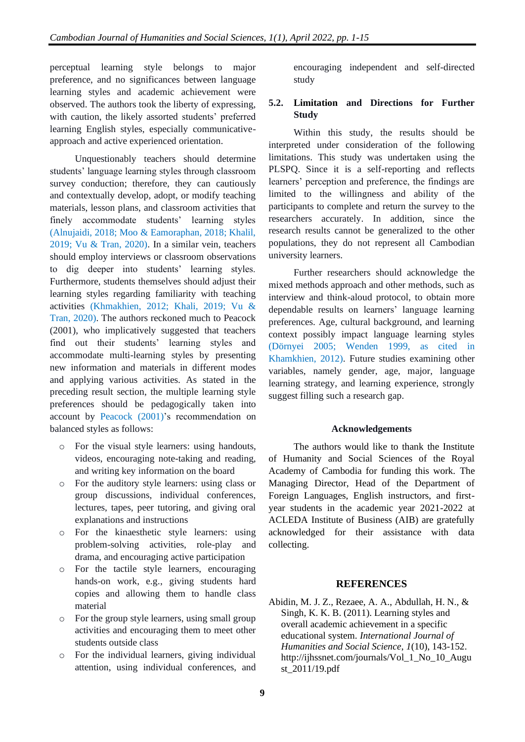perceptual learning style belongs to major preference, and no significances between language learning styles and academic achievement were observed. The authors took the liberty of expressing, with caution, the likely assorted students' preferred learning English styles, especially communicativeapproach and active experienced orientation.

Unquestionably teachers should determine students' language learning styles through classroom survey conduction; therefore, they can cautiously and contextually develop, adopt, or modify teaching materials, lesson plans, and classroom activities that finely accommodate students' learning styles (Alnujaidi, 2018; Moo & Eamoraphan, 2018; Khalil, 2019; Vu & Tran, 2020). In a similar vein, teachers should employ interviews or classroom observations to dig deeper into students' learning styles. Furthermore, students themselves should adjust their learning styles regarding familiarity with teaching activities (Khmakhien, 2012; Khali, 2019; Vu & Tran, 2020). The authors reckoned much to Peacock (2001), who implicatively suggested that teachers find out their students' learning styles and accommodate multi-learning styles by presenting new information and materials in different modes and applying various activities. As stated in the preceding result section, the multiple learning style preferences should be pedagogically taken into account by Peacock (2001)'s recommendation on balanced styles as follows:

- o For the visual style learners: using handouts, videos, encouraging note-taking and reading, and writing key information on the board
- o For the auditory style learners: using class or group discussions, individual conferences, lectures, tapes, peer tutoring, and giving oral explanations and instructions
- o For the kinaesthetic style learners: using problem-solving activities, role-play and drama, and encouraging active participation
- o For the tactile style learners, encouraging hands-on work, e.g., giving students hard copies and allowing them to handle class material
- o For the group style learners, using small group activities and encouraging them to meet other students outside class
- o For the individual learners, giving individual attention, using individual conferences, and

encouraging independent and self-directed study

## **5.2. Limitation and Directions for Further Study**

Within this study, the results should be interpreted under consideration of the following limitations. This study was undertaken using the PLSPQ. Since it is a self-reporting and reflects learners' perception and preference, the findings are limited to the willingness and ability of the participants to complete and return the survey to the researchers accurately. In addition, since the research results cannot be generalized to the other populations, they do not represent all Cambodian university learners.

Further researchers should acknowledge the mixed methods approach and other methods, such as interview and think-aloud protocol, to obtain more dependable results on learners' language learning preferences. Age, cultural background, and learning context possibly impact language learning styles (Dörnyei 2005; Wenden 1999, as cited in Khamkhien, 2012). Future studies examining other variables, namely gender, age, major, language learning strategy, and learning experience, strongly suggest filling such a research gap.

#### **Acknowledgements**

The authors would like to thank the Institute of Humanity and Social Sciences of the Royal Academy of Cambodia for funding this work. The Managing Director, Head of the Department of Foreign Languages, English instructors, and firstyear students in the academic year 2021-2022 at ACLEDA Institute of Business (AIB) are gratefully acknowledged for their assistance with data collecting.

#### **REFERENCES**

Abidin, M. J. Z., Rezaee, A. A., Abdullah, H. N., & Singh, K. K. B. (2011). Learning styles and overall academic achievement in a specific educational system. *International Journal of Humanities and Social Science*, *1*(10), 143-152. http://ijhssnet.com/journals/Vol\_1\_No\_10\_Augu st\_2011/19.pdf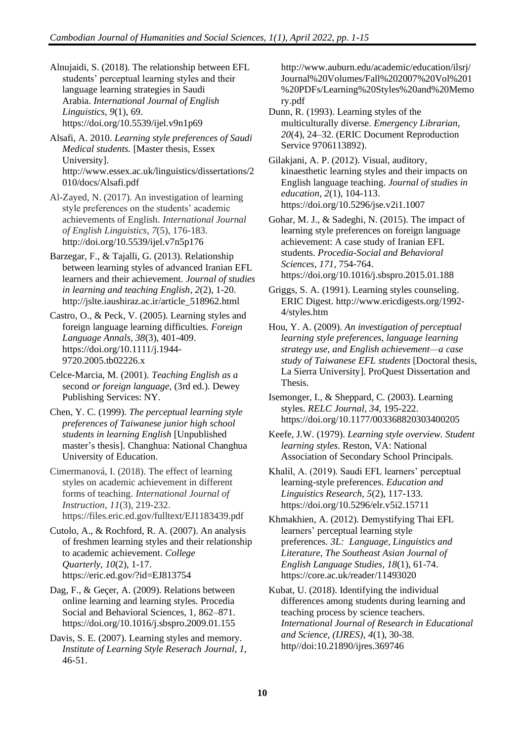Alnujaidi, S. (2018). The relationship between EFL students' perceptual learning styles and their language learning strategies in Saudi Arabia. *International Journal of English Linguistics*, *9*(1), 69. <https://doi.org/10.5539/ijel.v9n1p69>

Alsafi, A. 2010. *Learning style preferences of Saudi Medical students.* [Master thesis, Essex University]. http://www.essex.ac.uk/linguistics/dissertations/2 010/docs/Alsafi.pdf

Al-Zayed, N. (2017). An investigation of learning style preferences on the students' academic achievements of English. *International Journal of English Linguistics*, *7*(5), 176-183. http://doi.org/10.5539/ijel.v7n5p176

Barzegar, F., & Tajalli, G. (2013). Relationship between learning styles of advanced Iranian EFL learners and their achievement. *Journal of studies in learning and teaching English*, *2*(2), 1-20. http://jslte.iaushiraz.ac.ir/article\_518962.html

Castro, O., & Peck, V. (2005). Learning styles and foreign language learning difficulties. *Foreign Language Annals, 38*(3), 401-409. [https://doi.org/10.1111/j.1944-](https://doi.org/10.1111/j.1944-9720.2005.tb02226.x) [9720.2005.tb02226.x](https://doi.org/10.1111/j.1944-9720.2005.tb02226.x)

Celce-Marcia, M. (2001). *Teaching English as a*  second *or foreign language,* (3rd ed.). Dewey Publishing Services: NY.

Chen, Y. C. (1999). *The perceptual learning style preferences of Taiwanese junior high school students in learning English* [Unpublished master's thesis]. Changhua: National Changhua University of Education.

Cimermanová, I. (2018). The effect of learning styles on academic achievement in different forms of teaching. *International Journal of Instruction*, *11*(3), 219-232. https://files.eric.ed.gov/fulltext/EJ1183439.pdf

Cutolo, A., & Rochford, R. A. (2007). An analysis of freshmen learning styles and their relationship to academic achievement. *College Quarterly*, *10*(2), 1-17. https://eric.ed.gov/?id=EJ813754

Dag, F., & Geçer, A. (2009). Relations between online learning and learning styles. Procedia Social and Behavioral Sciences, 1, 862–871. <https://doi.org/10.1016/j.sbspro.2009.01.155>

Davis, S. E. (2007). Learning styles and memory. *Institute of Learning Style Reserach Journal*, *1*, 46-51.

http://www.auburn.edu/academic/education/ilsrj/ Journal%20Volumes/Fall%202007%20Vol%201 %20PDFs/Learning%20Styles%20and%20Memo ry.pdf

Dunn, R. (1993). Learning styles of the multiculturally diverse. *Emergency Librarian, 20*(4), 24–32. (ERIC Document Reproduction Service 9706113892).

Gilakjani, A. P. (2012). Visual, auditory, kinaesthetic learning styles and their impacts on English language teaching. *Journal of studies in education*, *2*(1), 104-113. https://doi.org/10.5296/jse.v2i1.1007

Gohar, M. J., & Sadeghi, N. (2015). The impact of learning style preferences on foreign language achievement: A case study of Iranian EFL students. *Procedia-Social and Behavioral Sciences*, *171*, 754-764. <https://doi.org/10.1016/j.sbspro.2015.01.188>

Griggs, S. A. (1991). Learning styles counseling. ERIC Digest. http://www.ericdigests.org/1992- 4/styles.htm

Hou, Y. A. (2009). *An investigation of perceptual learning style preferences, language learning strategy use, and English achievement—a case study of Taiwanese EFL students* [Doctoral thesis, La Sierra University]. ProQuest Dissertation and Thesis.

Isemonger, I., & Sheppard, C. (2003). Learning styles. *RELC Journal*, *34*, 195-222. [https://doi.org/10.1177/003368820303400205](https://doi.org/10.1177%2F003368820303400205)

Keefe, J.W. (1979). *Learning style overview. Student learning styles*. Reston, VA: National Association of Secondary School Principals.

Khalil, A. (2019). Saudi EFL learners' perceptual learning-style preferences. *Education and Linguistics Research, 5*(2), 117-133. https://doi.org/10.5296/elr.v5i2.15711

Khmakhien, A. (2012). Demystifying Thai EFL learners' perceptual learning style preferences. *3L: Language, Linguistics and Literature, The Southeast Asian Journal of English Language Studies*, *18*(1), 61-74. https://core.ac.uk/reader/11493020

Kubat, U. (2018). Identifying the individual differences among students during learning and teaching process by science teachers. *International Journal of Research in Educational and Science, (IJRES)*, *4*(1), 30-38. http//doi:10.21890/ijres.369746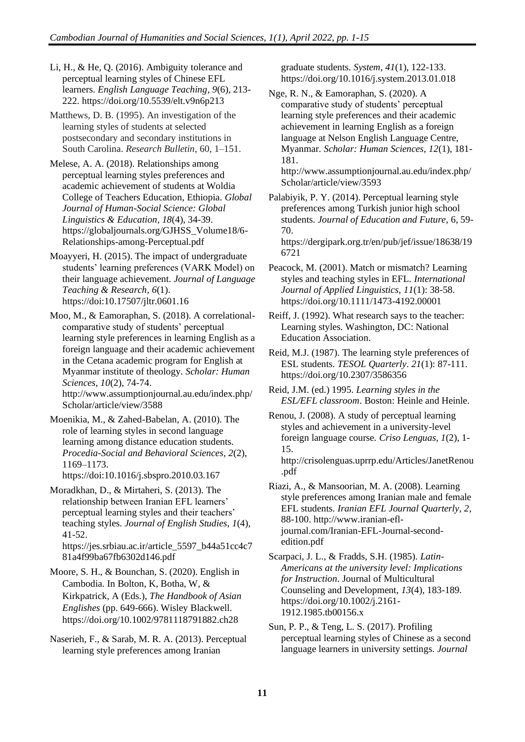Li, H., & He, Q. (2016). Ambiguity tolerance and perceptual learning styles of Chinese EFL learners. *English Language Teaching*, *9*(6), 213- 222. https://doi.org/10.5539/elt.v9n6p213

Matthews, D. B. (1995). An investigation of the learning styles of students at selected postsecondary and secondary institutions in South Carolina. *Research Bulletin*, 60, 1–151.

Melese, A. A. (2018). Relationships among perceptual learning styles preferences and academic achievement of students at Woldia College of Teachers Education, Ethiopia. *Global Journal of Human-Social Science: Global Linguistics & Education*, *18*(4), 34-39. https://globaljournals.org/GJHSS\_Volume18/6- Relationships-among-Perceptual.pdf

Moayyeri, H. (2015). The impact of undergraduate students' learning preferences (VARK Model) on their language achievement. *Journal of Language Teaching & Research*, *6*(1). https://doi[:10.17507/jltr.0601.16](http://dx.doi.org/10.17507/jltr.0601.16)

Moo, M., & Eamoraphan, S. (2018). A correlationalcomparative study of students' perceptual learning style preferences in learning English as a foreign language and their academic achievement in the Cetana academic program for English at Myanmar institute of theology. *Scholar: Human Sciences*, *10*(2), 74-74. http://www.assumptionjournal.au.edu/index.php/ Scholar/article/view/3588

Moenikia, M., & Zahed-Babelan, A. (2010). The role of learning styles in second language learning among distance education students. *Procedia-Social and Behavioral Sciences*, *2*(2), 1169–1173. https://doi:10.1016/j.sbspro.2010.03.167

Moradkhan, D., & Mirtaheri, S. (2013). The relationship between Iranian EFL learners' perceptual learning styles and their teachers' teaching styles. *Journal of English Studies*, *1*(4), 41-52. https://jes.srbiau.ac.ir/article\_5597\_b44a51cc4c7

81a4f99ba67fb6302d146.pdf

Moore, S. H., & Bounchan, S. (2020). English in Cambodia. In Bolton, K, Botha, W, & Kirkpatrick, A (Eds.), *The Handbook of Asian Englishes* (pp. 649-666). Wisley Blackwell. <https://doi.org/10.1002/9781118791882.ch28>

Naserieh, F., & Sarab, M. R. A. (2013). Perceptual learning style preferences among Iranian

graduate students. *System*, *41*(1), 122-133. <https://doi.org/10.1016/j.system.2013.01.018>

Nge, R. N., & Eamoraphan, S. (2020). A comparative study of students' perceptual learning style preferences and their academic achievement in learning English as a foreign language at Nelson English Language Centre, Myanmar. *Scholar: Human Sciences*, *12*(1), 181- 181.

http://www.assumptionjournal.au.edu/index.php/ Scholar/article/view/3593

Palabiyik, P. Y. (2014). Perceptual learning style preferences among Turkish junior high school students. *Journal of Education and Future*, 6, 59- 70.

https://dergipark.org.tr/en/pub/jef/issue/18638/19 6721

Peacock, M. (2001). Match or mismatch? Learning styles and teaching styles in EFL. *International Journal of Applied Linguistics, 11*(1): 38-58. <https://doi.org/10.1111/1473-4192.00001>

Reiff, J. (1992). What research says to the teacher: Learning styles. Washington, DC: National Education Association.

Reid, M.J. (1987). The learning style preferences of ESL students. *TESOL Quarterly*. *21*(1): 87-111. https://doi.org/10.2307/3586356

Reid, J.M. (ed.) 1995. *Learning styles in the ESL/EFL classroom*. Boston: Heinle and Heinle.

Renou, J. (2008). A study of perceptual learning styles and achievement in a university-level foreign language course. *Criso Lenguas*, *1*(2), 1- 15.

http://crisolenguas.uprrp.edu/Articles/JanetRenou .pdf

Riazi, A., & Mansoorian, M. A. (2008). Learning style preferences among Iranian male and female EFL students. *Iranian EFL Journal Quarterly, 2*, 88-100[. http://www.iranian-efl](http://www.iranian-efl-journal.com/Iranian-EFL-Journal-second-edition.pdf)[journal.com/Iranian-EFL-Journal-second](http://www.iranian-efl-journal.com/Iranian-EFL-Journal-second-edition.pdf)[edition.pdf](http://www.iranian-efl-journal.com/Iranian-EFL-Journal-second-edition.pdf)

Scarpaci, J. L., & Fradds, S.H. (1985). *Latin-Americans at the university level: Implications for Instruction*. Journal of Multicultural Counseling and Development, *13*(4), 183-189. https://doi.org/10.1002/j.2161- 1912.1985.tb00156.x

Sun, P. P., & Teng, L. S. (2017). Profiling perceptual learning styles of Chinese as a second language learners in university settings. *Journal*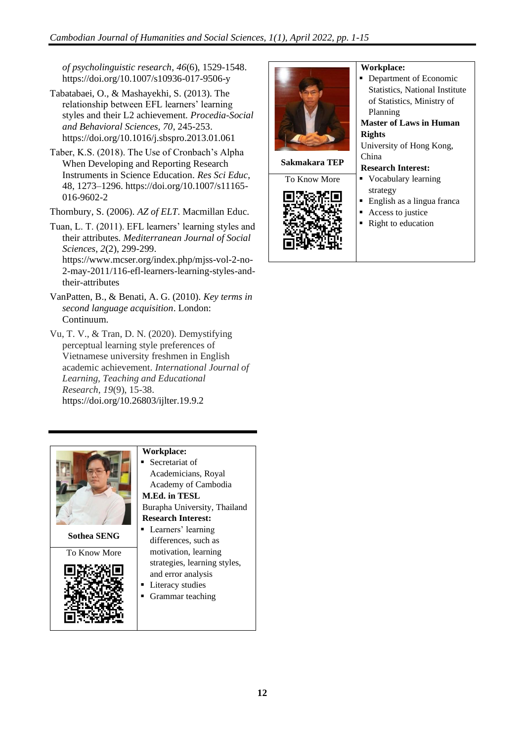*of psycholinguistic research*, *46*(6), 1529-1548. https://doi.org/10.1007/s10936-017-9506-y

- Tabatabaei, O., & Mashayekhi, S. (2013). The relationship between EFL learners' learning styles and their L2 achievement. *Procedia-Social and Behavioral Sciences, 70*, 245-253. https://doi.org/10.1016/j.sbspro.2013.01.061
- Taber, K.S. (2018). The Use of Cronbach's Alpha When Developing and Reporting Research Instruments in Science Education. *Res Sci Educ*, 48, 1273–1296. [https://doi.org/10.1007/s11165-](https://doi.org/10.1007/s11165-016-9602-2) [016-9602-2](https://doi.org/10.1007/s11165-016-9602-2)

Thornbury, S. (2006). *AZ of ELT*. Macmillan Educ.

- Tuan, L. T. (2011). EFL learners' learning styles and their attributes. *Mediterranean Journal of Social Sciences*, *2*(2), 299-299. https://www.mcser.org/index.php/mjss-vol-2-no-2-may-2011/116-efl-learners-learning-styles-andtheir-attributes
- VanPatten, B., & Benati, A. G. (2010). *Key terms in second language acquisition*. London: Continuum.
- Vu, T. V., & Tran, D. N. (2020). Demystifying perceptual learning style preferences of Vietnamese university freshmen in English academic achievement. *International Journal of Learning, Teaching and Educational Research*, *19*(9), 15-38. https://doi.org/10.26803/ijlter.19.9.2



**Sothea SENG**





## **Workplace:**

Secretariat of Academicians, Royal Academy of Cambodia **M.Ed. in TESL**

Burapha University, Thailand **Research Interest:**

- **•** Learners' learning differences, such as motivation, learning strategies, learning styles, and error analysis
- **Literacy studies**
- Grammar teaching



#### **Workplace:**

■ Department of Economic Statistics, National Institute of Statistics, Ministry of Planning **Master of Laws in Human Rights** University of Hong Kong, China **Research Interest:** ▪ Vocabulary learning strategy ■ English as a lingua franca Access to justice ■ Right to education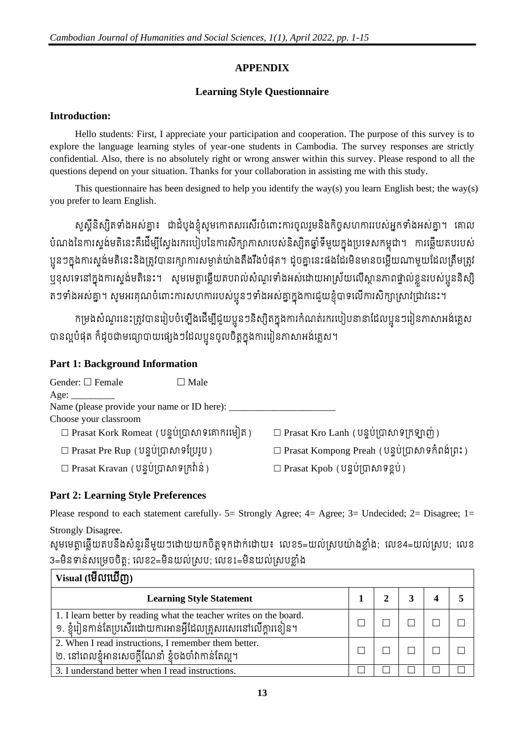## **APPENDIX**

## **Learning Style Questionnaire**

## **Introduction:**

Hello students: First, I appreciate your participation and cooperation. The purpose of this survey is to explore the language learning styles of year-one students in Cambodia. The survey responses are strictly confidential. Also, there is no absolutely right or wrong answer within this survey. Please respond to all the questions depend on your situation. Thanks for your collaboration in assisting me with this study.

This questionnaire has been designed to help you identify the way(s) you learn English best; the way(s) you prefer to learn English.

សួស្តនស្សតទាងអសត្នា៖ ជាដំបូងខ្ញុំសូមកោតសរសេរចំពោះការចូលរួមនងកិច្ចសហការរបស់អ្នកទាំងអស់គ្នា។ គោល បំណងនៃការស្ទង់មតិនេះគឺដើម្បីស្វែងរករបៀបនៃការសិក្សាភាសារបស់និស្សិតផ្នាំទីមួយក្នុងប្រទេសកម្ពុជា។ ការឆ្លើយតបរបស់ ប្អូនៗក្នុងការស្ទង់មតិនេះនិងត្រូវបានរក្សាការសម្ងាត់យ៉ាងតឹងរឹងបំផុត។ ដូចគ្នានេះផងដែរមិនមានចម្លើយណាមួយដែលត្រឹមត្រូវ ្មប្មុខុសទេនៅក្នុងការស្ទង់មតិនេះ។ សូមមេត្តាឆ្លើយតបរាល់សំណួរទាំងអស់ដោយអាស្រ័យលើស្ថានភាពផ្ទាល់ខ្លួនរបស់ប្អូននិស្សិ តៗទាងអស់គ្នា។ សូមអរគុណចំពោះការសហការរបស់ប្អូនៗទាងអស់គ្នាក្នុងការជួយខ្ញុំបាទលេការសក្សាស្រាវជ្រាវនេះ។

កម្រងសំណួរនេះត្រូវបានរៀបចំឡើងដើម្បីជួយប្អូនៗនិស្សិតក្នុងការកំណត់រករបៀបនានាដែលប្អូនៗរៀនភាសាអង់គ្លេស បានល្អបំផុត ក៏ដូចជាមធ្យោបាយផ្សេងៗដែលប្អូនចូលចិត្តក្នុងការរៀនភាសាអង់គ្លេស។

## **Part 1: Background Information**

| Gender: $\square$ Female<br>$\Box$ Male             |                                                         |
|-----------------------------------------------------|---------------------------------------------------------|
| Age:                                                |                                                         |
| Name (please provide your name or ID here): ______  |                                                         |
| Choose your classroom                               |                                                         |
| $\square$ Prasat Kork Romeat (បន្ទប់ប្រាសាទគោករមៀត) | $\Box$ Prasat Kro Lanh (បន្ទប់ប្រាសាទក្រឡាញ់)           |
| $\square$ Prasat Pre Rup (បន្ទប់ប្រាសាទប្រែរូប)     | $\square$ Prasat Kompong Preah (បន្ទប់ប្រាសាទកំពង់ព្រះ) |
| $\square$ Prasat Kravan (បន្ទប់ប្រាសាទក្រវ៉ាន់)     | $\square$ Prasat Kpob (បន្ទប់ប្រាសាទខ្ពប់)              |

## **Part 2: Learning Style Preferences**

Please respond to each statement carefully  $5=$  Strongly Agree; 4= Agree; 3= Undecided; 2= Disagree; 1= Strongly Disagree.

សូមមេត្តាឆ្លើយតបនឹងសំនូរនីមួយៗដោយយកចិត្តទុកដាក់ដោយ៖ លេខ5=យល់ស្របយ៉ាងខ្លាំង; លេខ4=យល់ស្រប; លេខ 3=មិនទាន់សម្រេចចិត្ត; លេខ2=មិនយល់ស្រប; លេខ1=មិនយល់ស្របខ្លាំង

| $Visual$ (មើលឃើញ)                                                                                                                   |  |  |  |
|-------------------------------------------------------------------------------------------------------------------------------------|--|--|--|
| <b>Learning Style Statement</b>                                                                                                     |  |  |  |
| 1. I learn better by reading what the teacher writes on the board.<br>១. ខ្ញុំរៀនកាន់តែប្រសើរដោយការអានអ្វីដែលគ្រួសរសេរនៅលើក្តារខៀន។ |  |  |  |
| 2. When I read instructions, I remember them better.<br>២. នៅពេលខ្ញុំអានសេចក្តីណែនាំ ខ្ញុំចងចាំវាកាន់តែល្អ។                         |  |  |  |
| 3. I understand better when I read instructions.                                                                                    |  |  |  |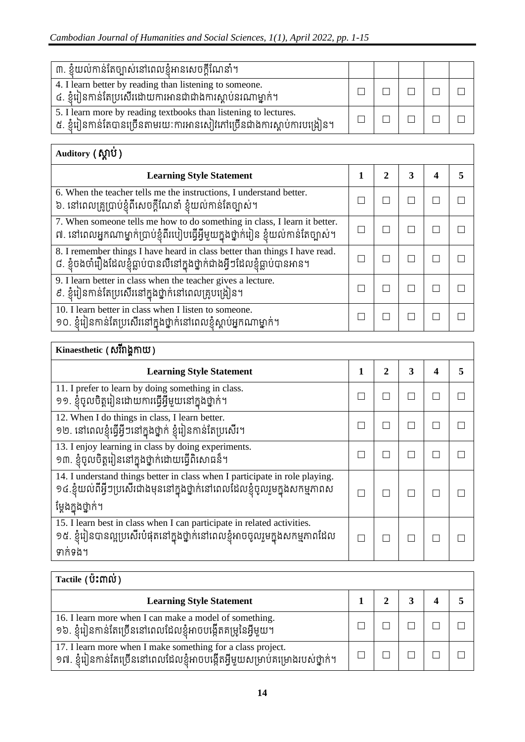| ៣. ខ្ញុំយល់កាន់តែច្បាស់នៅពេលខ្ញុំអានសេចក្តីណែនាំ។                                                                                         |  |  |  |
|-------------------------------------------------------------------------------------------------------------------------------------------|--|--|--|
| 4. I learn better by reading than listening to some one.<br>៤. ខ្ញុំរៀនកាន់តែប្រសើរដោយការអានជាជាងការស្តាប់នរណាម្នាក់។                     |  |  |  |
| 5. I learn more by reading textbooks than listening to lectures.<br>៥. ខ្ញុំរៀនកាន់តែបានច្រើនតាមរយៈការអានសៀវភៅច្រើនជាងការស្តាប់ការបង្រៀន។ |  |  |  |

| Auditory (MIU)                                                                                                                                                    |   |   |  |
|-------------------------------------------------------------------------------------------------------------------------------------------------------------------|---|---|--|
| <b>Learning Style Statement</b>                                                                                                                                   | 2 | 3 |  |
| 6. When the teacher tells me the instructions, I understand better.<br>៦. នៅពេលគ្រូប្រាប់ខ្ញុំពីសេចក្តីណែនាំ ខ្ញុំយល់កាន់តែច្បាស់។                                |   |   |  |
| 7. When someone tells me how to do something in class, I learn it better.<br>៧. នៅពេលអ្នកណាម្នាក់ប្រាប់ខ្ញុំពីរបៀបធ្វើអ្វីមួយក្នុងថ្នាក់រៀន ខ្ញុំយល់កាន់តែច្បាស់។ |   |   |  |
| 8. I remember things I have heard in class better than things I have read.<br>៨. ខ្ញុំចងចាំរឿងដែលខ្ញុំធ្លាប់បានលឺនៅក្នុងថ្នាក់ជាងអ្វីៗដែលខ្ញុំធ្លាប់បានអាន។       |   |   |  |
| 9. I learn better in class when the teacher gives a lecture.<br>៩. ខ្ញុំរៀនកាន់តែប្រសើរនៅក្នុងថ្នាក់នៅពេលគ្រូបង្រៀន។                                              |   |   |  |
| 10. I learn better in class when I listen to someone.<br>១០. ខ្ញុំរៀនកាន់តែប្រសើរនៅក្នុងថ្នាក់នៅពេលខ្ញុំស្តាប់អ្នកណាម្នាក់។                                       |   |   |  |

| Kinaesthetic (សំរីរ៉ាង្គកាយ)                                                                                                                                                     |   |              |              |   |   |  |  |
|----------------------------------------------------------------------------------------------------------------------------------------------------------------------------------|---|--------------|--------------|---|---|--|--|
| <b>Learning Style Statement</b>                                                                                                                                                  | 1 | $\mathbf{2}$ | 3            | 4 | 5 |  |  |
| 11. I prefer to learn by doing something in class.<br>១១. ខ្ញុំចូលចិត្តរៀនដោយការធ្វើអ្វីមួយនៅក្នុងថ្នាក់។                                                                        |   |              | $\mathbf{I}$ |   |   |  |  |
| 12. When I do things in class, I learn better.<br>១២. នៅពេលខ្ញុំធ្វើអ្វីៗនៅក្នុងថ្នាក់ ខ្ញុំរៀនកាន់តែប្រសើរ។                                                                     |   |              | H.           |   |   |  |  |
| 13. I enjoy learning in class by doing experiments.<br>១៣. ខ្ញុំចូលចិត្តរៀននៅក្នុងថ្នាក់ដោយធ្វើពិសោធន៏។                                                                          |   |              | □            |   |   |  |  |
| 14. I understand things better in class when I participate in role playing.<br>១៤.ខ្ញុំយល់ពីអ្វីៗប្រសើរជាងមុននៅក្នុងថ្នាក់នៅពេលដែលខ្ញុំចូលរួមក្នុងសកម្មភាពស<br>ម្តែងក្នុងថ្នាក់។ |   |              | П            |   |   |  |  |
| 15. I learn best in class when I can participate in related activities.<br>១៥. ខ្ញុំរៀនបានល្អប្រសើរបំផុតនៅក្នុងថ្នាក់នៅពេលខ្ញុំអាចចូលរួមក្នុងសកម្មភាពដែល<br>ទាក់ទង។              |   |              | П            |   |   |  |  |

| Tactile (ប៉ះពាល់)                                                                                                                           |  |  |  |  |  |  |
|---------------------------------------------------------------------------------------------------------------------------------------------|--|--|--|--|--|--|
| <b>Learning Style Statement</b>                                                                                                             |  |  |  |  |  |  |
| 16. I learn more when I can make a model of something.<br>១៦. ខ្ញុំរៀនកាន់តែច្រើននៅពេលដែលខ្ញុំអាចបង្កើតគម្រូនៃអ្វីមួយ។                      |  |  |  |  |  |  |
| 17. I learn more when I make something for a class project.<br>១៧. ខ្ញុំរៀនកាន់តែច្រើននៅពេលដែលខ្ញុំអាចបង្កើតអ្វីមួយសម្រាប់គម្រោងរបស់ថ្នាក់។ |  |  |  |  |  |  |